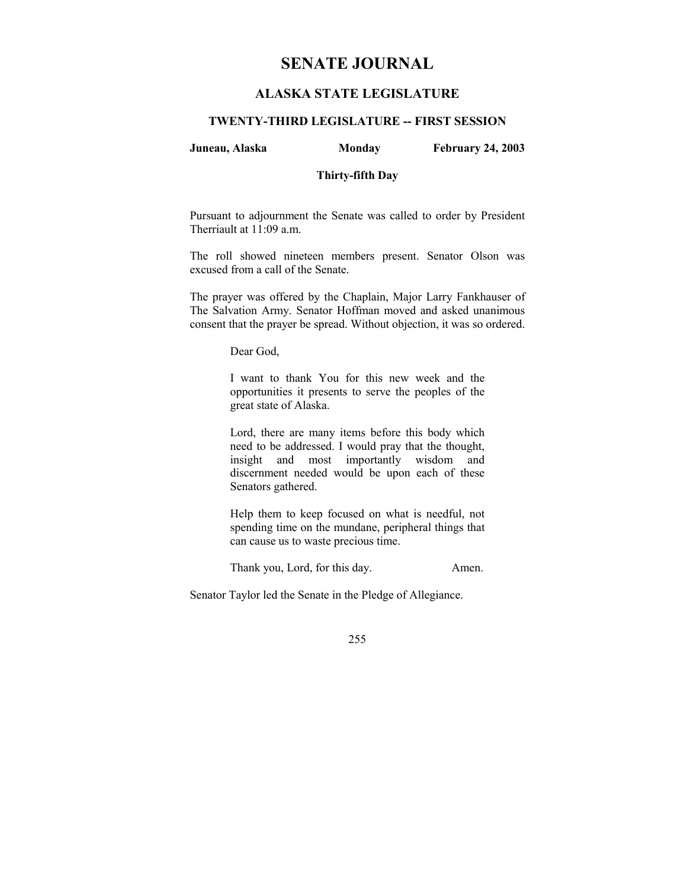# **SENATE JOURNAL**

# **ALASKA STATE LEGISLATURE**

## **TWENTY-THIRD LEGISLATURE -- FIRST SESSION**

## **Juneau, Alaska Monday February 24, 2003**

## **Thirty-fifth Day**

Pursuant to adjournment the Senate was called to order by President Therriault at 11:09 a.m.

The roll showed nineteen members present. Senator Olson was excused from a call of the Senate.

The prayer was offered by the Chaplain, Major Larry Fankhauser of The Salvation Army. Senator Hoffman moved and asked unanimous consent that the prayer be spread. Without objection, it was so ordered.

Dear God,

I want to thank You for this new week and the opportunities it presents to serve the peoples of the great state of Alaska.

Lord, there are many items before this body which need to be addressed. I would pray that the thought, insight and most importantly wisdom and discernment needed would be upon each of these Senators gathered.

Help them to keep focused on what is needful, not spending time on the mundane, peripheral things that can cause us to waste precious time.

Thank you, Lord, for this day. Amen.

Senator Taylor led the Senate in the Pledge of Allegiance.

255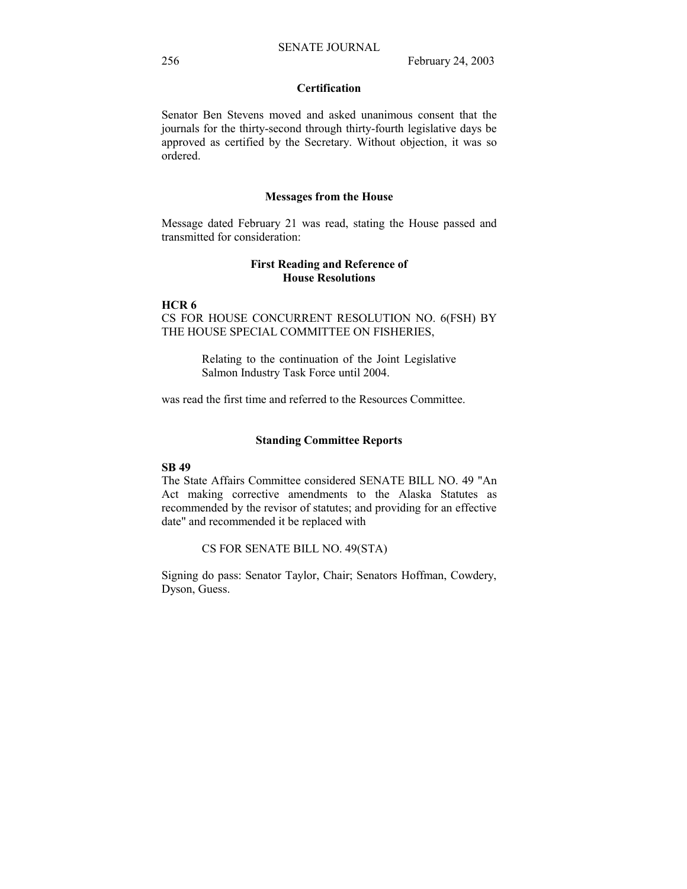# **Certification**

Senator Ben Stevens moved and asked unanimous consent that the journals for the thirty-second through thirty-fourth legislative days be approved as certified by the Secretary. Without objection, it was so ordered.

## **Messages from the House**

Message dated February 21 was read, stating the House passed and transmitted for consideration:

## **First Reading and Reference of House Resolutions**

### **HCR 6**

CS FOR HOUSE CONCURRENT RESOLUTION NO. 6(FSH) BY THE HOUSE SPECIAL COMMITTEE ON FISHERIES,

> Relating to the continuation of the Joint Legislative Salmon Industry Task Force until 2004.

was read the first time and referred to the Resources Committee.

## **Standing Committee Reports**

# **SB 49**

The State Affairs Committee considered SENATE BILL NO. 49 "An Act making corrective amendments to the Alaska Statutes as recommended by the revisor of statutes; and providing for an effective date" and recommended it be replaced with

CS FOR SENATE BILL NO. 49(STA)

Signing do pass: Senator Taylor, Chair; Senators Hoffman, Cowdery, Dyson, Guess.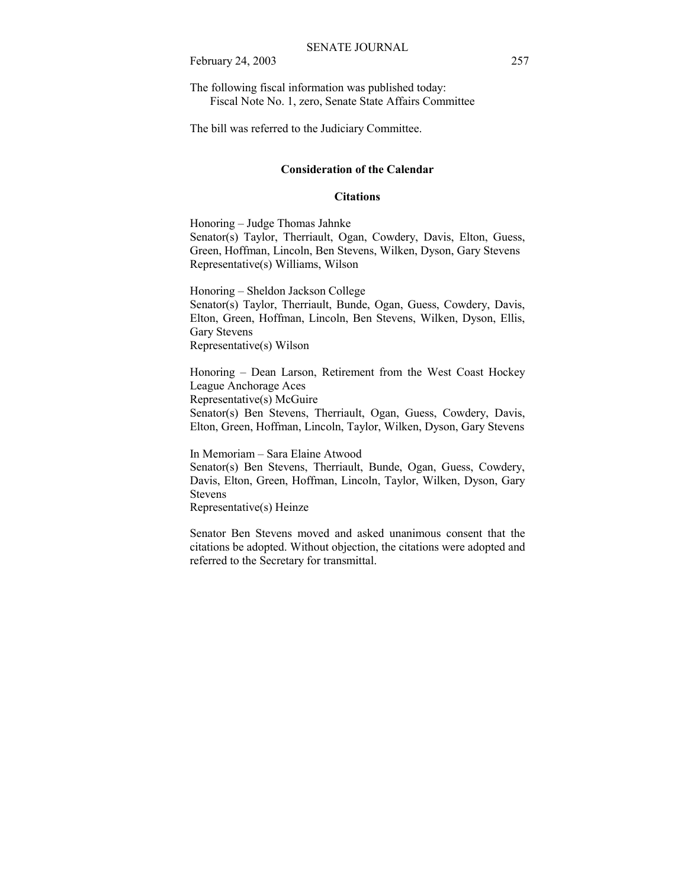February 24, 2003 257

The following fiscal information was published today: Fiscal Note No. 1, zero, Senate State Affairs Committee

The bill was referred to the Judiciary Committee.

## **Consideration of the Calendar**

## **Citations**

Honoring – Judge Thomas Jahnke Senator(s) Taylor, Therriault, Ogan, Cowdery, Davis, Elton, Guess, Green, Hoffman, Lincoln, Ben Stevens, Wilken, Dyson, Gary Stevens Representative(s) Williams, Wilson

Honoring – Sheldon Jackson College Senator(s) Taylor, Therriault, Bunde, Ogan, Guess, Cowdery, Davis, Elton, Green, Hoffman, Lincoln, Ben Stevens, Wilken, Dyson, Ellis, Gary Stevens Representative(s) Wilson

Honoring – Dean Larson, Retirement from the West Coast Hockey League Anchorage Aces Representative(s) McGuire Senator(s) Ben Stevens, Therriault, Ogan, Guess, Cowdery, Davis, Elton, Green, Hoffman, Lincoln, Taylor, Wilken, Dyson, Gary Stevens

In Memoriam – Sara Elaine Atwood Senator(s) Ben Stevens, Therriault, Bunde, Ogan, Guess, Cowdery, Davis, Elton, Green, Hoffman, Lincoln, Taylor, Wilken, Dyson, Gary Stevens Representative(s) Heinze

Senator Ben Stevens moved and asked unanimous consent that the citations be adopted. Without objection, the citations were adopted and referred to the Secretary for transmittal.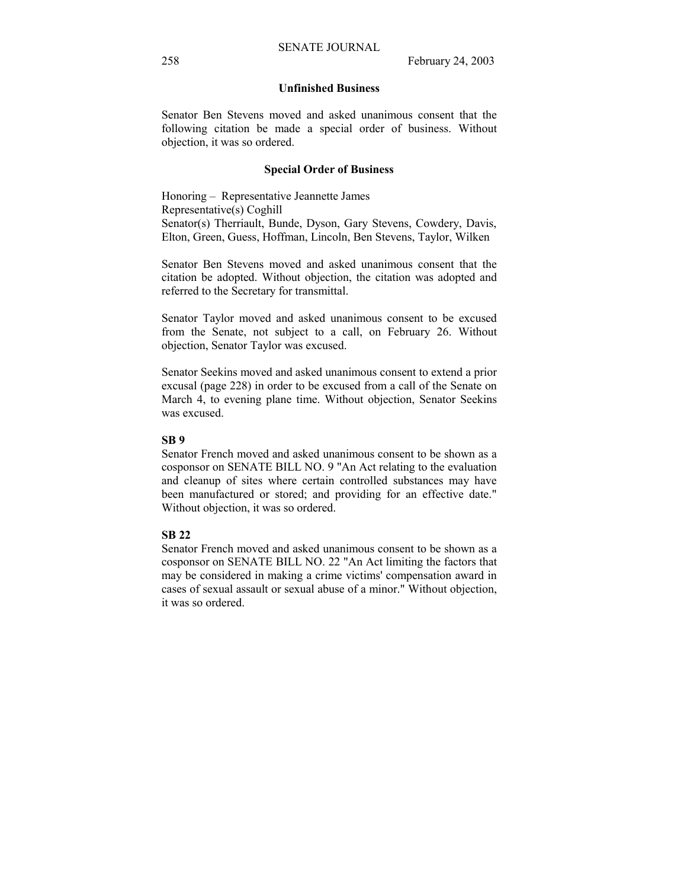## **Unfinished Business**

Senator Ben Stevens moved and asked unanimous consent that the following citation be made a special order of business. Without objection, it was so ordered.

#### **Special Order of Business**

Honoring – Representative Jeannette James Representative(s) Coghill Senator(s) Therriault, Bunde, Dyson, Gary Stevens, Cowdery, Davis, Elton, Green, Guess, Hoffman, Lincoln, Ben Stevens, Taylor, Wilken

Senator Ben Stevens moved and asked unanimous consent that the citation be adopted. Without objection, the citation was adopted and referred to the Secretary for transmittal.

Senator Taylor moved and asked unanimous consent to be excused from the Senate, not subject to a call, on February 26. Without objection, Senator Taylor was excused.

Senator Seekins moved and asked unanimous consent to extend a prior excusal (page 228) in order to be excused from a call of the Senate on March 4, to evening plane time. Without objection, Senator Seekins was excused.

## **SB 9**

Senator French moved and asked unanimous consent to be shown as a cosponsor on SENATE BILL NO. 9 "An Act relating to the evaluation and cleanup of sites where certain controlled substances may have been manufactured or stored; and providing for an effective date." Without objection, it was so ordered.

## **SB 22**

Senator French moved and asked unanimous consent to be shown as a cosponsor on SENATE BILL NO. 22 "An Act limiting the factors that may be considered in making a crime victims' compensation award in cases of sexual assault or sexual abuse of a minor." Without objection, it was so ordered.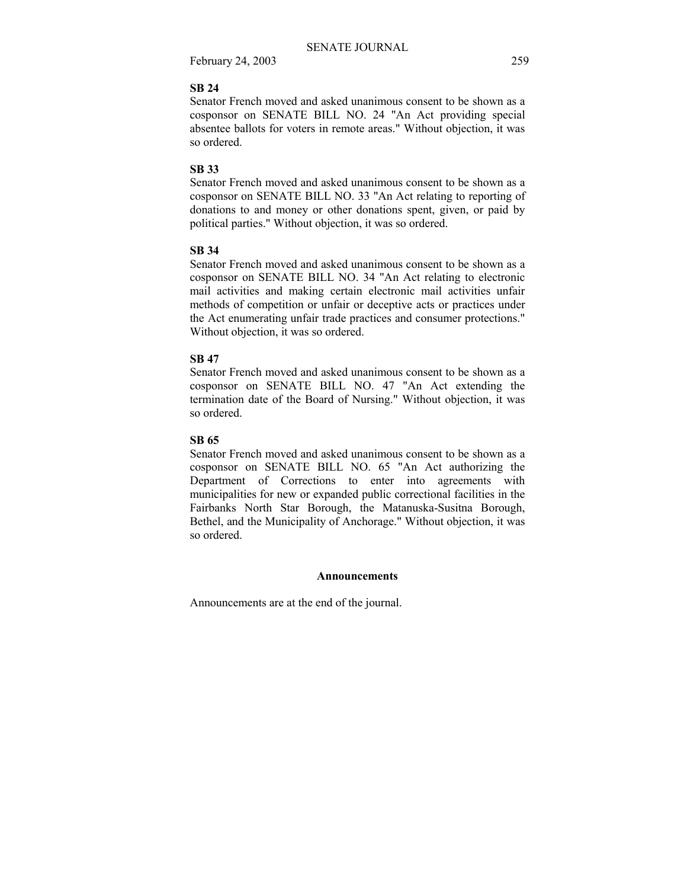February 24, 2003 259

## **SB 24**

Senator French moved and asked unanimous consent to be shown as a cosponsor on SENATE BILL NO. 24 "An Act providing special absentee ballots for voters in remote areas." Without objection, it was so ordered.

## **SB 33**

Senator French moved and asked unanimous consent to be shown as a cosponsor on SENATE BILL NO. 33 "An Act relating to reporting of donations to and money or other donations spent, given, or paid by political parties." Without objection, it was so ordered.

## **SB 34**

Senator French moved and asked unanimous consent to be shown as a cosponsor on SENATE BILL NO. 34 "An Act relating to electronic mail activities and making certain electronic mail activities unfair methods of competition or unfair or deceptive acts or practices under the Act enumerating unfair trade practices and consumer protections." Without objection, it was so ordered.

## **SB 47**

Senator French moved and asked unanimous consent to be shown as a cosponsor on SENATE BILL NO. 47 "An Act extending the termination date of the Board of Nursing." Without objection, it was so ordered.

# **SB 65**

Senator French moved and asked unanimous consent to be shown as a cosponsor on SENATE BILL NO. 65 "An Act authorizing the Department of Corrections to enter into agreements with municipalities for new or expanded public correctional facilities in the Fairbanks North Star Borough, the Matanuska-Susitna Borough, Bethel, and the Municipality of Anchorage." Without objection, it was so ordered.

## **Announcements**

Announcements are at the end of the journal.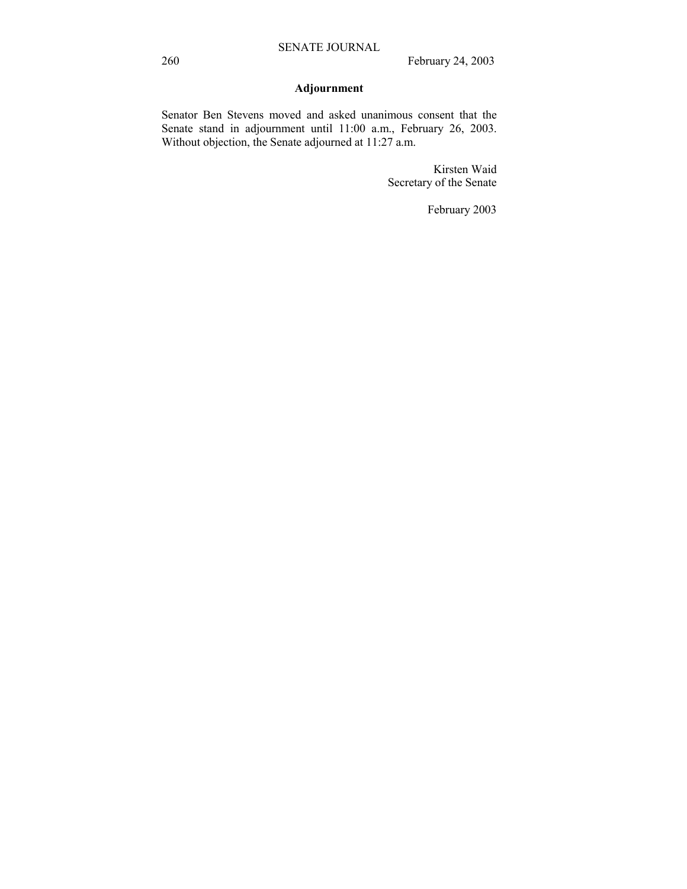# **Adjournment**

Senator Ben Stevens moved and asked unanimous consent that the Senate stand in adjournment until 11:00 a.m., February 26, 2003. Without objection, the Senate adjourned at 11:27 a.m.

> Kirsten Waid Secretary of the Senate

> > February 2003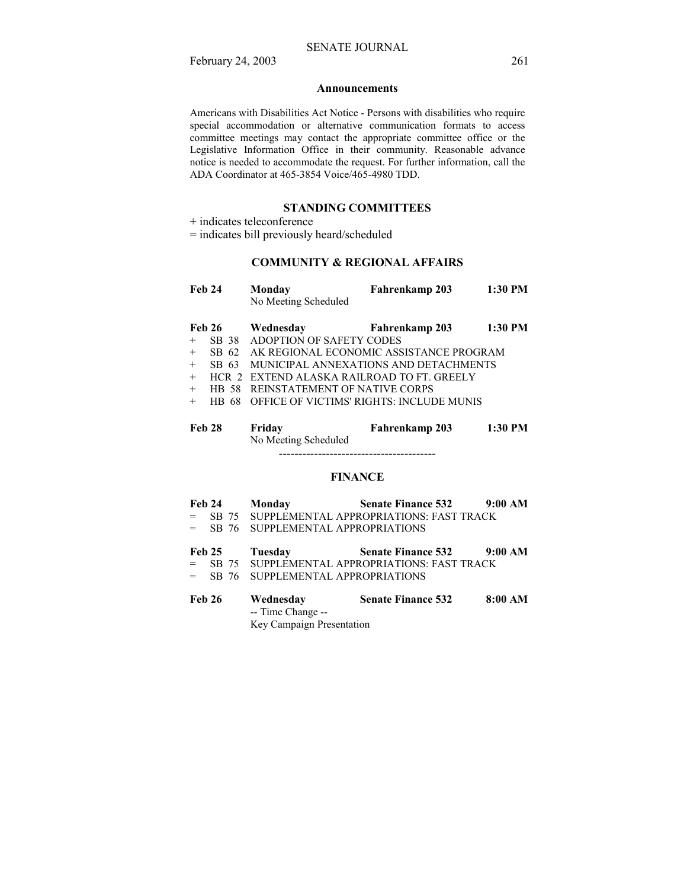#### **Announcements**

Americans with Disabilities Act Notice - Persons with disabilities who require special accommodation or alternative communication formats to access committee meetings may contact the appropriate committee office or the Legislative Information Office in their community. Reasonable advance notice is needed to accommodate the request. For further information, call the ADA Coordinator at 465-3854 Voice/465-4980 TDD.

## **STANDING COMMITTEES**

+ indicates teleconference

= indicates bill previously heard/scheduled

# **COMMUNITY & REGIONAL AFFAIRS**

| <b>Feb 24</b> |           | Monday<br>No Meeting Scheduled            | Fahrenkamp 203                           | 1:30 PM   |
|---------------|-----------|-------------------------------------------|------------------------------------------|-----------|
|               |           |                                           |                                          |           |
| <b>Feb 26</b> |           | Wednesday                                 | <b>Fahrenkamp 203</b>                    | 1:30 PM   |
| $^{+}$        | SB 38     | ADOPTION OF SAFETY CODES                  |                                          |           |
| $+$           | SB 62     |                                           | AK REGIONAL ECONOMIC ASSISTANCE PROGRAM  |           |
| $+$           | SB 63     |                                           | MUNICIPAL ANNEXATIONS AND DETACHMENTS    |           |
| $+$           |           | HCR 2 EXTEND ALASKA RAILROAD TO FT GREELY |                                          |           |
| $+$           | HB 58     | REINSTATEMENT OF NATIVE CORPS             |                                          |           |
| $^{+}$        | 68<br>HB. |                                           | OFFICE OF VICTIMS' RIGHTS: INCLUDE MUNIS |           |
| <b>Feb 28</b> |           | Friday<br>No Meeting Scheduled            | Fahrenkamp 203                           | $1:30$ PM |
|               |           |                                           |                                          |           |

## **FINANCE**

|         |        | Feb 24 Monday                       | <b>Senate Finance 532</b>                       | 9:00 AM |
|---------|--------|-------------------------------------|-------------------------------------------------|---------|
| $=$ $-$ |        |                                     | SB 75 SUPPLEMENTAL APPROPRIATIONS: FAST TRACK   |         |
|         |        | = SB 76 SUPPLEMENTAL APPROPRIATIONS |                                                 |         |
|         |        | Feb 25 Tuesday                      | <b>Senate Finance 532</b>                       | 9:00 AM |
|         |        |                                     | = SB 75 SUPPLEMENTAL APPROPRIATIONS: FAST TRACK |         |
|         |        | = SB 76 SUPPLEMENTAL APPROPRIATIONS |                                                 |         |
|         | Feb 26 | Wednesday                           | <b>Senate Finance 532</b>                       | 8:00 AM |

 -- Time Change -- Key Campaign Presentation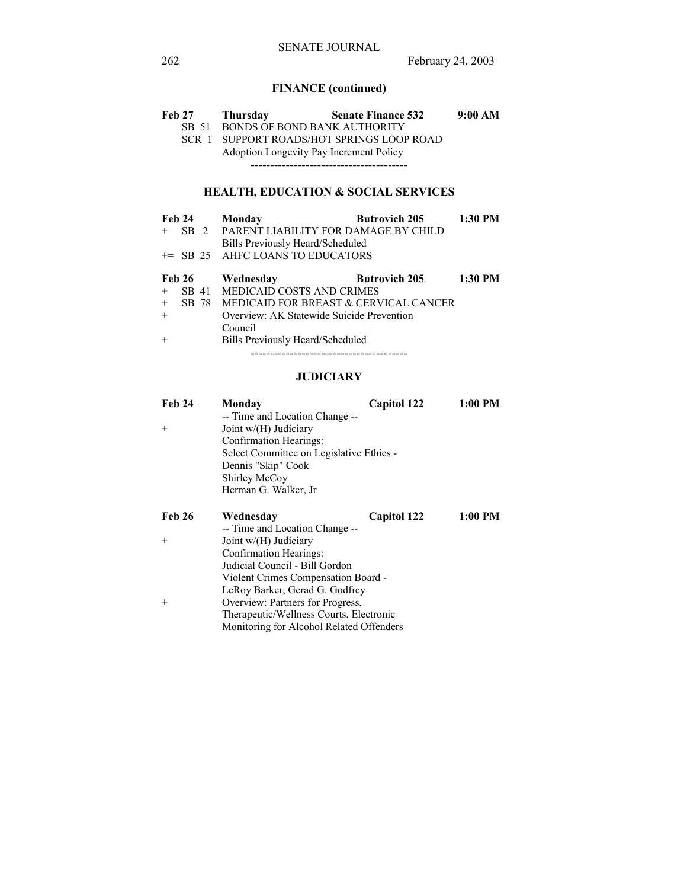# **FINANCE (continued)**

| Feb 27 | Thursday | <b>Senate Finance 532</b>               | 9:00 AM |
|--------|----------|-----------------------------------------|---------|
|        |          | SB 51 BONDS OF BOND BANK AUTHORITY      |         |
| SCR 1  |          | SUPPORT ROADS/HOT SPRINGS LOOP ROAD     |         |
|        |          | Adoption Longevity Pay Increment Policy |         |
|        |          |                                         |         |
|        |          |                                         |         |

# **HEALTH, EDUCATION & SOCIAL SERVICES**

| Feb 24        |        | Monday                                    | <b>Butrovich 205</b> | 1:30 PM   |  |
|---------------|--------|-------------------------------------------|----------------------|-----------|--|
| $^{+}$        | $SB$ 2 | PARENT LIABILITY FOR DAMAGE BY CHILD      |                      |           |  |
|               |        | Bills Previously Heard/Scheduled          |                      |           |  |
|               |        | += SB 25 AHFC LOANS TO EDUCATORS          |                      |           |  |
| <b>Feb 26</b> |        | Wednesday                                 | <b>Butrovich 205</b> | $1:30$ PM |  |
| $+$           |        | SB 41 MEDICAID COSTS AND CRIMES           |                      |           |  |
| $+$           | SB 78  | MEDICAID FOR BREAST & CERVICAL CANCER     |                      |           |  |
| $+$           |        | Overview: AK Statewide Suicide Prevention |                      |           |  |
|               |        | Council                                   |                      |           |  |
| $+$           |        | Bills Previously Heard/Scheduled          |                      |           |  |
|               |        |                                           |                      |           |  |

# **JUDICIARY**

| <b>Feb 24</b>                       | Monday<br>-- Time and Location Change -- | Capitol 122 | 1:00 PM   |  |
|-------------------------------------|------------------------------------------|-------------|-----------|--|
| $^{+}$                              | Joint w/(H) Judiciary                    |             |           |  |
|                                     | Confirmation Hearings:                   |             |           |  |
|                                     | Select Committee on Legislative Ethics - |             |           |  |
|                                     | Dennis "Skip" Cook                       |             |           |  |
|                                     | Shirley McCoy                            |             |           |  |
|                                     | Herman G. Walker, Jr                     |             |           |  |
| <b>Feb 26</b>                       | Wednesday                                | Capitol 122 | $1:00$ PM |  |
|                                     | -- Time and Location Change --           |             |           |  |
| $+$                                 | Joint $w/(H)$ Judiciary                  |             |           |  |
|                                     | Confirmation Hearings:                   |             |           |  |
|                                     | Judicial Council - Bill Gordon           |             |           |  |
| Violent Crimes Compensation Board - |                                          |             |           |  |
|                                     | LeRoy Barker, Gerad G. Godfrey           |             |           |  |
| $^{+}$                              | Overview: Partners for Progress,         |             |           |  |
|                                     | Therapeutic/Wellness Courts, Electronic  |             |           |  |
|                                     | Monitoring for Alcohol Related Offenders |             |           |  |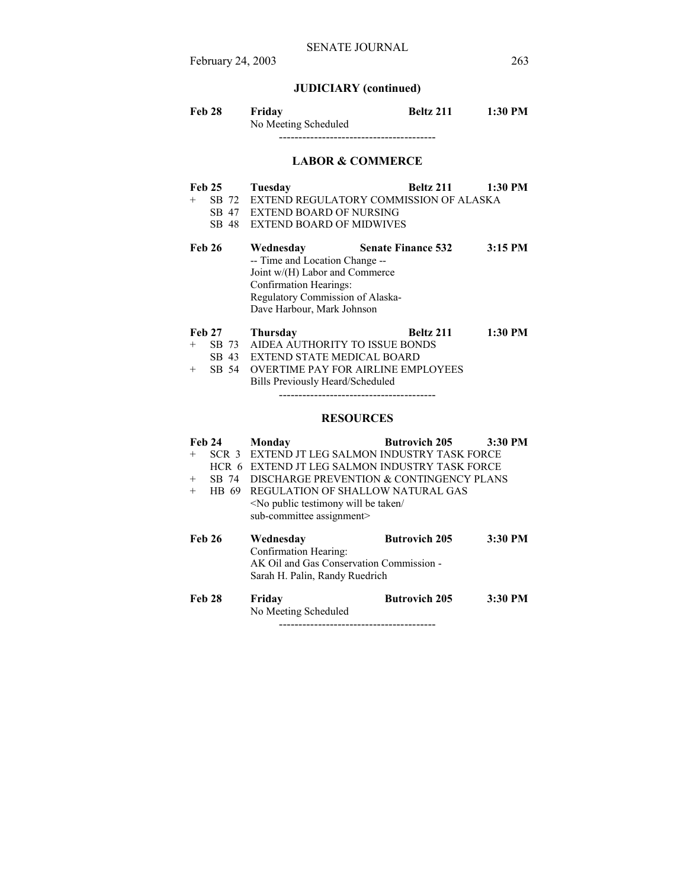February 24, 2003 263

# **JUDICIARY (continued)**

| Feb 28 | Fridav               | Beltz 211 | 1:30 PM |
|--------|----------------------|-----------|---------|
|        | No Meeting Scheduled |           |         |
|        |                      |           |         |

**LABOR & COMMERCE**

| <b>Feb 25</b> | Tuesday                       | - Beltz 211                                    | 1:30 PM |
|---------------|-------------------------------|------------------------------------------------|---------|
|               |                               | + SB 72 EXTEND REGULATORY COMMISSION OF ALASKA |         |
|               | SB 47 EXTEND BOARD OF NURSING |                                                |         |

SB 48 EXTEND BOARD OF MIDWIVES

| Feb 26 | Wednesday                        | <b>Senate Finance 532</b> | $3:15$ PM |
|--------|----------------------------------|---------------------------|-----------|
|        | -- Time and Location Change --   |                           |           |
|        | Joint $w/(H)$ Labor and Commerce |                           |           |
|        | Confirmation Hearings:           |                           |           |
|        | Regulatory Commission of Alaska- |                           |           |
|        | Dave Harbour, Mark Johnson       |                           |           |
|        |                                  |                           |           |

| <b>Feb 27</b> | <b>Thursday</b>                        | <b>Beltz 211</b> | $1:30$ PM |
|---------------|----------------------------------------|------------------|-----------|
|               | + SB 73 AIDEA AUTHORITY TO ISSUE BONDS |                  |           |
|               | SB 43 EXTEND STATE MEDICAL BOARD       |                  |           |

+ SB 54 OVERTIME PAY FOR AIRLINE EMPLOYEES Bills Previously Heard/Scheduled

----------------------------------------

## **RESOURCES**

| <b>Feb 24</b><br>$^{+}$<br>$^{+}$<br>$+$ | SCR <sub>3</sub><br>$HCR$ 6<br>SB 74<br>HB 69 | Monday<br>EXTEND JT LEG SALMON INDUSTRY TASK FORCE<br>EXTEND JT LEG SALMON INDUSTRY TASK FORCE<br>DISCHARGE PREVENTION & CONTINGENCY PLANS<br>REGULATION OF SHALLOW NATURAL GAS<br><no <br="" be="" public="" taken="" testimony="" will="">sub-committee assignment&gt;</no> | <b>Butrovich 205</b> | $3:30$ PM |
|------------------------------------------|-----------------------------------------------|-------------------------------------------------------------------------------------------------------------------------------------------------------------------------------------------------------------------------------------------------------------------------------|----------------------|-----------|
| <b>Feb 26</b>                            |                                               | Wednesday<br>Confirmation Hearing:<br>AK Oil and Gas Conservation Commission -<br>Sarah H. Palin, Randy Ruedrich                                                                                                                                                              | <b>Butrovich 205</b> | 3:30 PM   |
| <b>Feb 28</b>                            |                                               | Friday<br>No Meeting Scheduled                                                                                                                                                                                                                                                | <b>Butrovich 205</b> | 3:30 PM   |

----------------------------------------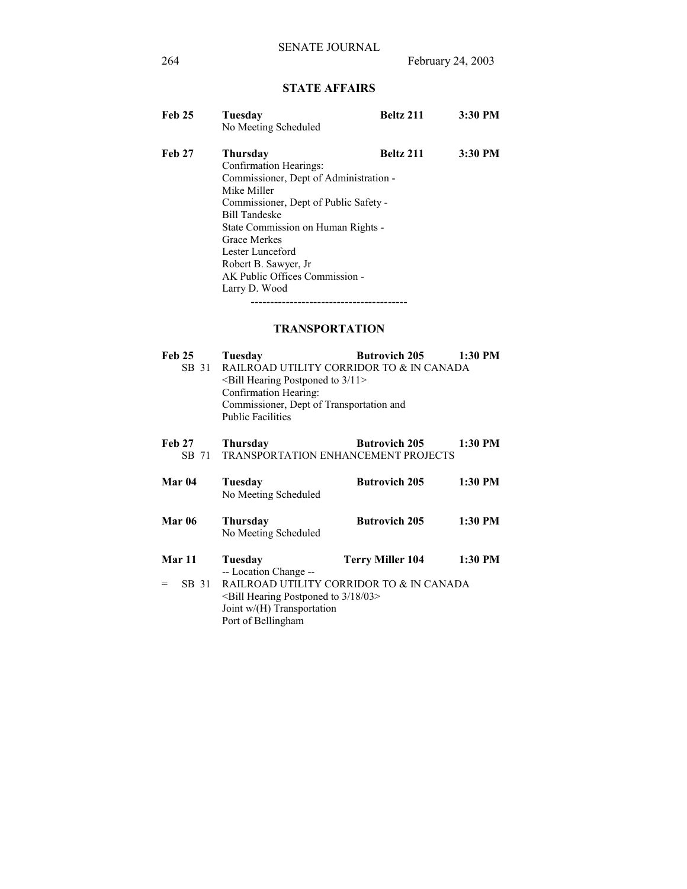# **STATE AFFAIRS**

| <b>Feb 25</b> | Tuesday                                | <b>Beltz 211</b> | 3:30 PM |  |  |
|---------------|----------------------------------------|------------------|---------|--|--|
|               | No Meeting Scheduled                   |                  |         |  |  |
| <b>Feb 27</b> | Thursday                               | Beltz 211        | 3:30 PM |  |  |
|               | Confirmation Hearings:                 |                  |         |  |  |
|               | Commissioner, Dept of Administration - |                  |         |  |  |
|               | Mike Miller                            |                  |         |  |  |
|               | Commissioner, Dept of Public Safety -  |                  |         |  |  |
|               | <b>Bill Tandeske</b>                   |                  |         |  |  |
|               | State Commission on Human Rights -     |                  |         |  |  |
|               | <b>Grace Merkes</b>                    |                  |         |  |  |
|               | Lester Lunceford                       |                  |         |  |  |
|               | Robert B. Sawyer, Jr                   |                  |         |  |  |
|               | AK Public Offices Commission -         |                  |         |  |  |
|               | Larry D. Wood                          |                  |         |  |  |
|               |                                        |                  |         |  |  |

# **TRANSPORTATION**

| <b>Feb 25</b>          | Tuesday                                                                                       | <b>Butrovich 205</b>                                               | 1:30 PM   |
|------------------------|-----------------------------------------------------------------------------------------------|--------------------------------------------------------------------|-----------|
| SB 31                  | $\le$ Bill Hearing Postponed to 3/11>                                                         | RAILROAD UTILITY CORRIDOR TO & IN CANADA                           |           |
|                        | Confirmation Hearing:<br>Commissioner, Dept of Transportation and<br><b>Public Facilities</b> |                                                                    |           |
| <b>Feb 27</b><br>SB 71 | <b>Thursday</b>                                                                               | <b>Butrovich 205</b><br><b>TRANSPORTATION ENHANCEMENT PROJECTS</b> | $1:30$ PM |
| Mar 04                 | Tuesday<br>No Meeting Scheduled                                                               | <b>Butrovich 205</b>                                               | 1:30 PM   |
| <b>Mar 06</b>          | <b>Thursday</b><br>No Meeting Scheduled                                                       | <b>Butrovich 205</b>                                               | 1:30 PM   |
| Mar 11                 | Tuesday<br>$\sim$                                                                             | Terry Miller 104                                                   | 1:30 PM   |

 -- Location Change -- = SB 31 RAILROAD UTILITY CORRIDOR TO & IN CANADA <Bill Hearing Postponed to 3/18/03> Joint w/(H) Transportation Port of Bellingham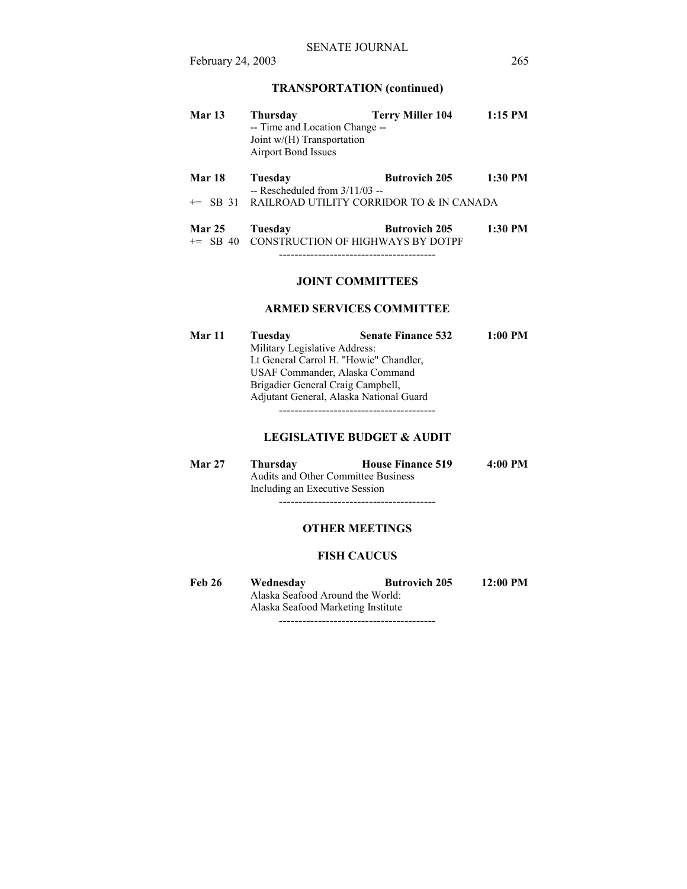# **TRANSPORTATION (continued)**

| <b>Mar 13</b> | Thursday                       | <b>Terry Miller 104</b> | $1:15$ PM |
|---------------|--------------------------------|-------------------------|-----------|
|               | -- Time and Location Change -- |                         |           |
|               | Joint $w/(H)$ Transportation   |                         |           |
|               | Airport Bond Issues            |                         |           |

| <b>Mar 18</b> | Tuesday                          | <b>Butrovich 205</b>                                 | $1:30$ PM |
|---------------|----------------------------------|------------------------------------------------------|-----------|
|               | -- Rescheduled from $3/11/03$ -- |                                                      |           |
|               |                                  | $\pm$ SB 31 RAILROAD UTILITY CORRIDOR TO & IN CANADA |           |

| <b>Mar 25</b> | Tuesday | <b>Butrovich 205</b>                         | $1:30$ PM |
|---------------|---------|----------------------------------------------|-----------|
|               |         | $+=$ SB 40 CONSTRUCTION OF HIGHWAYS BY DOTPF |           |

----------------------------------------

## **JOINT COMMITTEES**

## **ARMED SERVICES COMMITTEE**

| Mar 11 | Tuesday                           | <b>Senate Finance 532</b>               | $1:00$ PM |
|--------|-----------------------------------|-----------------------------------------|-----------|
|        | Military Legislative Address:     |                                         |           |
|        |                                   |                                         |           |
|        | USAF Commander, Alaska Command    |                                         |           |
|        | Brigadier General Craig Campbell, |                                         |           |
|        |                                   | Adjutant General, Alaska National Guard |           |
|        |                                   |                                         |           |

## **LEGISLATIVE BUDGET & AUDIT**

| <b>Mar 27</b> | Thursday                                   | <b>House Finance 519</b> | $4:00 \text{ PM}$ |
|---------------|--------------------------------------------|--------------------------|-------------------|
|               | <b>Audits and Other Committee Business</b> |                          |                   |
|               | Including an Executive Session             |                          |                   |
|               |                                            |                          |                   |

# **OTHER MEETINGS**

# **FISH CAUCUS**

Feb 26 Wednesday Butrovich 205 12:00 PM Alaska Seafood Around the World: Alaska Seafood Marketing Institute ----------------------------------------